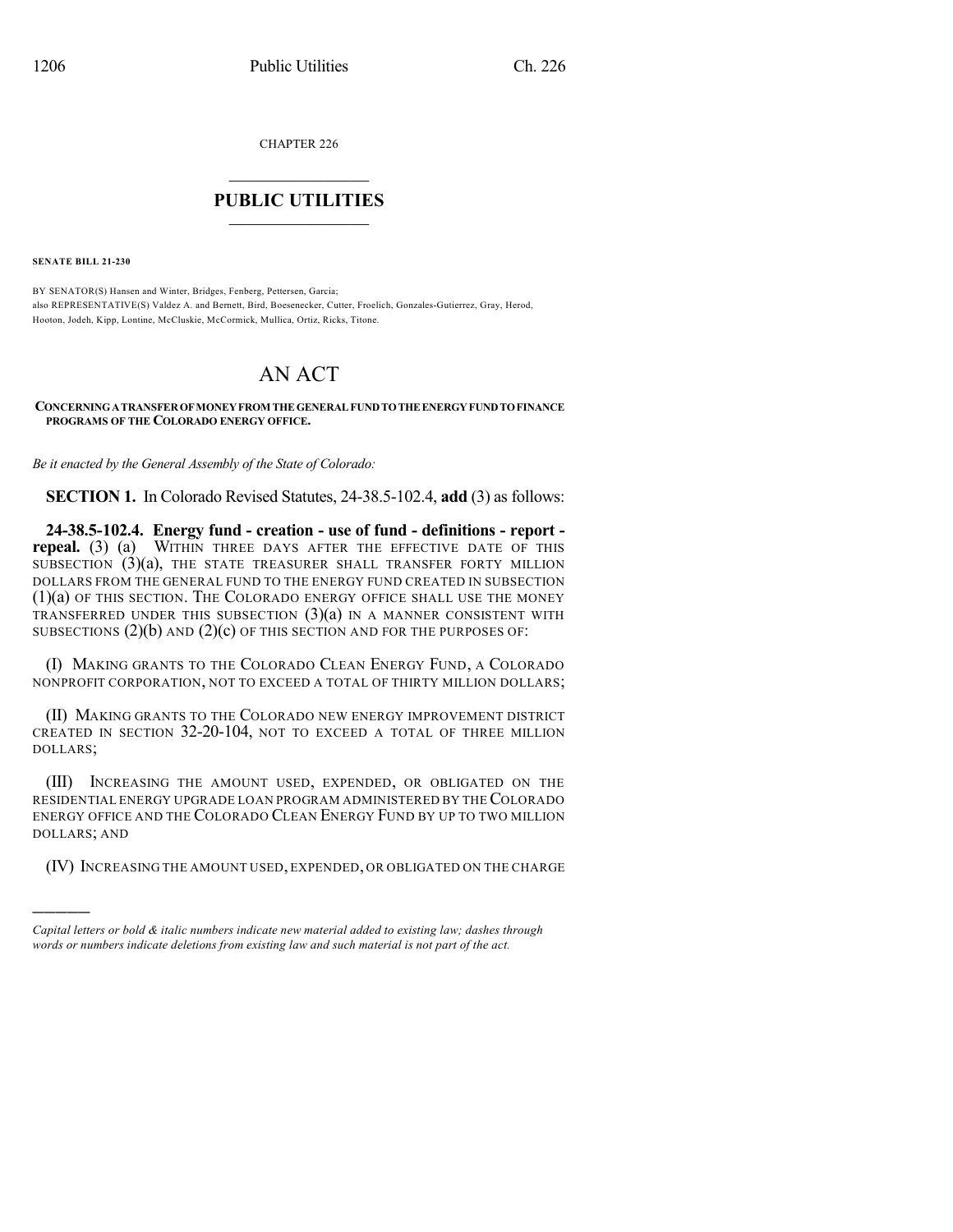CHAPTER 226

## $\overline{\phantom{a}}$  . The set of the set of the set of the set of the set of the set of the set of the set of the set of the set of the set of the set of the set of the set of the set of the set of the set of the set of the set o **PUBLIC UTILITIES** \_\_\_\_\_\_\_\_\_\_\_\_\_\_\_

**SENATE BILL 21-230**

)))))

BY SENATOR(S) Hansen and Winter, Bridges, Fenberg, Pettersen, Garcia; also REPRESENTATIVE(S) Valdez A. and Bernett, Bird, Boesenecker, Cutter, Froelich, Gonzales-Gutierrez, Gray, Herod, Hooton, Jodeh, Kipp, Lontine, McCluskie, McCormick, Mullica, Ortiz, Ricks, Titone.

## AN ACT

**CONCERNINGATRANSFEROFMONEYFROM THEGENERALFUNDTOTHEENERGYFUNDTOFINANCE PROGRAMS OF THE COLORADO ENERGY OFFICE.**

*Be it enacted by the General Assembly of the State of Colorado:*

**SECTION 1.** In Colorado Revised Statutes, 24-38.5-102.4, **add** (3) as follows:

**24-38.5-102.4. Energy fund - creation - use of fund - definitions - report repeal.** (3) (a) WITHIN THREE DAYS AFTER THE EFFECTIVE DATE OF THIS SUBSECTION  $(3)(a)$ , THE STATE TREASURER SHALL TRANSFER FORTY MILLION DOLLARS FROM THE GENERAL FUND TO THE ENERGY FUND CREATED IN SUBSECTION (1)(a) OF THIS SECTION. THE COLORADO ENERGY OFFICE SHALL USE THE MONEY TRANSFERRED UNDER THIS SUBSECTION  $(3)(a)$  in a manner consistent with SUBSECTIONS  $(2)(b)$  and  $(2)(c)$  of this section and for the purposes of:

(I) MAKING GRANTS TO THE COLORADO CLEAN ENERGY FUND, A COLORADO NONPROFIT CORPORATION, NOT TO EXCEED A TOTAL OF THIRTY MILLION DOLLARS;

(II) MAKING GRANTS TO THE COLORADO NEW ENERGY IMPROVEMENT DISTRICT CREATED IN SECTION 32-20-104, NOT TO EXCEED A TOTAL OF THREE MILLION DOLLARS;

(III) INCREASING THE AMOUNT USED, EXPENDED, OR OBLIGATED ON THE RESIDENTIAL ENERGY UPGRADE LOAN PROGRAM ADMINISTERED BY THECOLORADO ENERGY OFFICE AND THE COLORADO CLEAN ENERGY FUND BY UP TO TWO MILLION DOLLARS; AND

(IV) INCREASING THE AMOUNT USED, EXPENDED, OR OBLIGATED ON THE CHARGE

*Capital letters or bold & italic numbers indicate new material added to existing law; dashes through words or numbers indicate deletions from existing law and such material is not part of the act.*